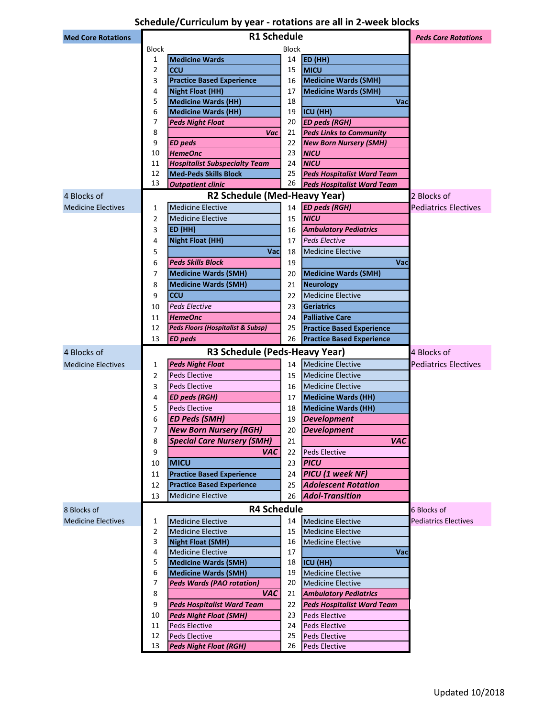# **Schedule/Curriculum by year - rotations are all in 2-week blocks**

|                           | <b>R1 Schedule</b> |                                                                |                            |                                                                      |                             |
|---------------------------|--------------------|----------------------------------------------------------------|----------------------------|----------------------------------------------------------------------|-----------------------------|
| <b>Med Core Rotations</b> |                    |                                                                | <b>Peds Core Rotations</b> |                                                                      |                             |
|                           | <b>Block</b>       |                                                                | <b>Block</b>               |                                                                      |                             |
|                           | 1                  | <b>Medicine Wards</b>                                          | 14                         | ED (HH)                                                              |                             |
|                           | 2                  | <b>CCU</b>                                                     | 15                         | <b>MICU</b>                                                          |                             |
|                           | 3                  | <b>Practice Based Experience</b>                               | 16                         | <b>Medicine Wards (SMH)</b>                                          |                             |
|                           | 4                  | <b>Night Float (HH)</b>                                        | 17                         | <b>Medicine Wards (SMH)</b>                                          |                             |
|                           | 5<br>6             | <b>Medicine Wards (HH)</b><br><b>Medicine Wards (HH)</b>       | 18<br>19                   | Vac<br>ICU (HH)                                                      |                             |
|                           | 7                  | <b>Peds Night Float</b>                                        | 20                         | <b>ED peds (RGH)</b>                                                 |                             |
|                           | 8                  | Vac                                                            | 21                         | <b>Peds Links to Community</b>                                       |                             |
|                           | 9                  | <b>ED</b> peds                                                 | 22                         | <b>New Born Nursery (SMH)</b>                                        |                             |
|                           | 10                 | <b>HemeOnc</b>                                                 | 23                         | <b>NICU</b>                                                          |                             |
|                           | 11                 | <b>Hospitalist Subspecialty Team</b>                           | 24                         | <b>NICU</b>                                                          |                             |
|                           | 12                 | <b>Med-Peds Skills Block</b>                                   | 25                         | <b>Peds Hospitalist Ward Team</b>                                    |                             |
|                           | 13                 | <b>Outpatient clinic</b>                                       | 26                         | <b>Peds Hospitalist Ward Team</b>                                    |                             |
| 4 Blocks of               |                    | R2 Schedule (Med-Heavy Year)                                   |                            |                                                                      | 2 Blocks of                 |
| <b>Medicine Electives</b> | 1                  | <b>Medicine Elective</b>                                       | 14                         | <b>ED peds (RGH)</b>                                                 | <b>Pediatrics Electives</b> |
|                           | 2                  | <b>Medicine Elective</b>                                       | 15                         | <b>NICU</b>                                                          |                             |
|                           | 3                  | ED (HH)                                                        | 16                         | <b>Ambulatory Pediatrics</b>                                         |                             |
|                           | 4                  | <b>Night Float (HH)</b>                                        | 17                         | <b>Peds Elective</b>                                                 |                             |
|                           | 5                  | Vac                                                            | 18                         | <b>Medicine Elective</b>                                             |                             |
|                           | 6                  | <b>Peds Skills Block</b>                                       | 19                         | Vac                                                                  |                             |
|                           | 7                  | <b>Medicine Wards (SMH)</b>                                    | 20                         | <b>Medicine Wards (SMH)</b>                                          |                             |
|                           | 8                  | <b>Medicine Wards (SMH)</b>                                    | 21                         | <b>Neurology</b>                                                     |                             |
|                           | 9                  | <b>CCU</b>                                                     | 22                         | <b>Medicine Elective</b>                                             |                             |
|                           |                    | <b>Peds Elective</b>                                           |                            |                                                                      |                             |
|                           | 10                 |                                                                | 23                         | Geriatrics<br><b>Palliative Care</b>                                 |                             |
|                           | 11<br>12           | <b>HemeOnc</b><br><b>Peds Floors (Hospitalist &amp; Subsp)</b> | 24                         |                                                                      |                             |
|                           | 13                 | <b>ED</b> peds                                                 | 25<br>26                   | <b>Practice Based Experience</b><br><b>Practice Based Experience</b> |                             |
|                           |                    |                                                                |                            |                                                                      |                             |
| 4 Blocks of               |                    | R3 Schedule (Peds-Heavy Year)                                  |                            |                                                                      | 4 Blocks of                 |
| <b>Medicine Electives</b> | 1                  | <b>Peds Night Float</b>                                        | 14                         | <b>Medicine Elective</b>                                             | <b>Pediatrics Electives</b> |
|                           | 2                  | <b>Peds Elective</b>                                           | 15                         | <b>Medicine Elective</b>                                             |                             |
|                           | 3                  | <b>Peds Elective</b>                                           | 16                         | <b>Medicine Elective</b>                                             |                             |
|                           | 4                  | <b>ED peds (RGH)</b>                                           | 17                         | <b>Medicine Wards (HH)</b>                                           |                             |
|                           | 5                  | <b>Peds Elective</b>                                           | 18                         | <b>Medicine Wards (HH)</b>                                           |                             |
|                           | 6                  | <b>ED Peds (SMH)</b>                                           | 19                         | <b>Development</b>                                                   |                             |
|                           | 7                  | <b>New Born Nursery (RGH)</b>                                  | 20                         | <b>Development</b>                                                   |                             |
|                           | 8                  | <b>Special Care Nursery (SMH)</b>                              | 21                         | <b>VAC</b>                                                           |                             |
|                           | 9                  | VAC                                                            | 22                         | <b>Peds Elective</b>                                                 |                             |
|                           | 10                 | <b>MICU</b>                                                    | 23                         | <b>PICU</b>                                                          |                             |
|                           | 11                 | <b>Practice Based Experience</b>                               | 24                         | <b>PICU</b> (1 week NF)                                              |                             |
|                           | 12                 | <b>Practice Based Experience</b>                               | 25                         | <b>Adolescent Rotation</b>                                           |                             |
|                           | 13                 | <b>Medicine Elective</b>                                       | 26                         | <b>Adol-Transition</b>                                               |                             |
| 8 Blocks of               |                    | <b>R4 Schedule</b>                                             |                            |                                                                      | 6 Blocks of                 |
| <b>Medicine Electives</b> | 1                  | <b>Medicine Elective</b>                                       | 14                         | <b>Medicine Elective</b>                                             | <b>Pediatrics Electives</b> |
|                           | 2                  | <b>Medicine Elective</b>                                       | 15                         | <b>Medicine Elective</b>                                             |                             |
|                           | 3                  | <b>Night Float (SMH)</b>                                       | 16                         | <b>Medicine Elective</b>                                             |                             |
|                           | 4                  | <b>Medicine Elective</b>                                       | 17                         | Vac                                                                  |                             |
|                           | 5                  | <b>Medicine Wards (SMH)</b>                                    | 18                         | ICU (HH)                                                             |                             |
|                           | 6                  | <b>Medicine Wards (SMH)</b>                                    | 19                         | <b>Medicine Elective</b>                                             |                             |
|                           | 7                  | <b>Peds Wards (PAO rotation)</b>                               | 20                         | <b>Medicine Elective</b>                                             |                             |
|                           | 8                  | <b>VAC</b>                                                     | 21                         | <b>Ambulatory Pediatrics</b>                                         |                             |
|                           | 9                  | <b>Peds Hospitalist Ward Team</b>                              | 22                         | <b>Peds Hospitalist Ward Team</b>                                    |                             |
|                           | 10                 | <b>Peds Night Float (SMH)</b>                                  | 23                         | <b>Peds Elective</b>                                                 |                             |
|                           | 11                 | Peds Elective                                                  | 24                         | Peds Elective                                                        |                             |
|                           | 12<br>13           | Peds Elective                                                  | 25                         | Peds Elective                                                        |                             |
|                           |                    | <b>Peds Night Float (RGH)</b>                                  | 26                         | <b>Peds Elective</b>                                                 |                             |